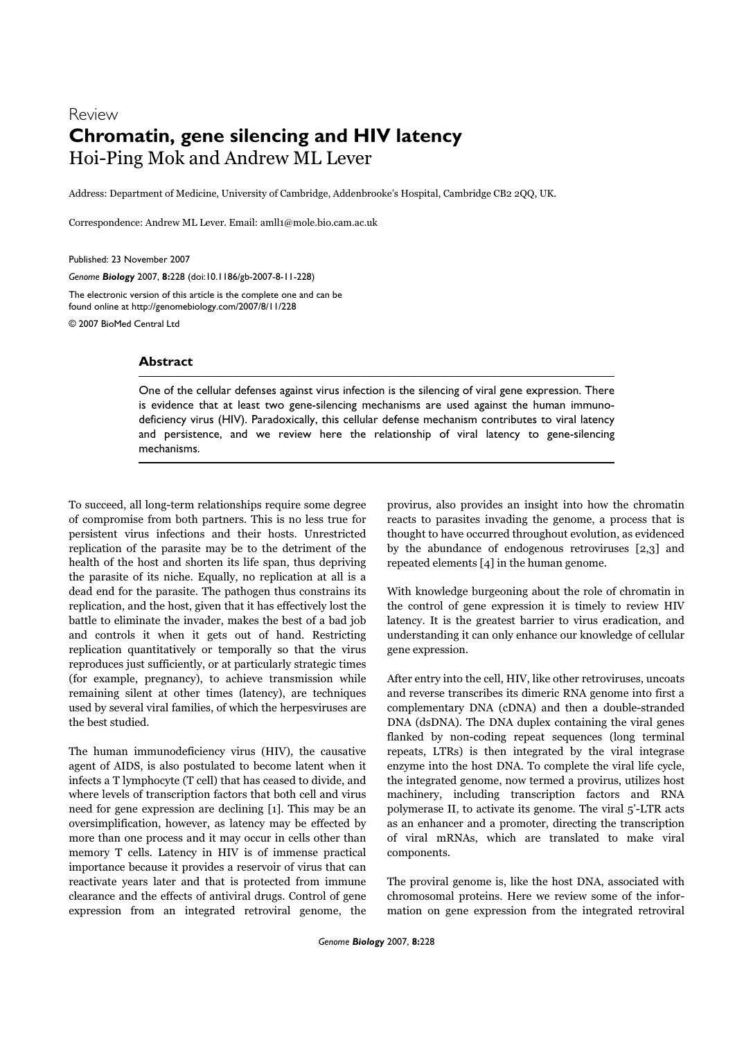# Review **Chromatin, gene silencing and HIV latency** Hoi-Ping Mok and Andrew ML Lever

Address: Department of Medicine, University of Cambridge, Addenbrooke's Hospital, Cambridge CB2 2QQ, UK.

Correspondence: Andrew ML Lever. Email: amll1@mole.bio.cam.ac.uk

Published: 23 November 2007

*Genome Biology* 2007, **8:**228 (doi:10.1186/gb-2007-8-11-228)

The electronic version of this article is the complete one and can be found online at http://genomebiology.com/2007/8/11/228

© 2007 BioMed Central Ltd

### **Abstract**

One of the cellular defenses against virus infection is the silencing of viral gene expression. There is evidence that at least two gene-silencing mechanisms are used against the human immunodeficiency virus (HIV). Paradoxically, this cellular defense mechanism contributes to viral latency and persistence, and we review here the relationship of viral latency to gene-silencing mechanisms.

To succeed, all long-term relationships require some degree of compromise from both partners. This is no less true for persistent virus infections and their hosts. Unrestricted replication of the parasite may be to the detriment of the health of the host and shorten its life span, thus depriving the parasite of its niche. Equally, no replication at all is a dead end for the parasite. The pathogen thus constrains its replication, and the host, given that it has effectively lost the battle to eliminate the invader, makes the best of a bad job and controls it when it gets out of hand. Restricting replication quantitatively or temporally so that the virus reproduces just sufficiently, or at particularly strategic times (for example, pregnancy), to achieve transmission while remaining silent at other times (latency), are techniques used by several viral families, of which the herpesviruses are the best studied.

The human immunodeficiency virus (HIV), the causative agent of AIDS, is also postulated to become latent when it infects a T lymphocyte (T cell) that has ceased to divide, and where levels of transcription factors that both cell and virus need for gene expression are declining [1]. This may be an oversimplification, however, as latency may be effected by more than one process and it may occur in cells other than memory T cells. Latency in HIV is of immense practical importance because it provides a reservoir of virus that can reactivate years later and that is protected from immune clearance and the effects of antiviral drugs. Control of gene expression from an integrated retroviral genome, the provirus, also provides an insight into how the chromatin reacts to parasites invading the genome, a process that is thought to have occurred throughout evolution, as evidenced by the abundance of endogenous retroviruses [2,3] and repeated elements [4] in the human genome.

With knowledge burgeoning about the role of chromatin in the control of gene expression it is timely to review HIV latency. It is the greatest barrier to virus eradication, and understanding it can only enhance our knowledge of cellular gene expression.

After entry into the cell, HIV, like other retroviruses, uncoats and reverse transcribes its dimeric RNA genome into first a complementary DNA (cDNA) and then a double-stranded DNA (dsDNA). The DNA duplex containing the viral genes flanked by non-coding repeat sequences (long terminal repeats, LTRs) is then integrated by the viral integrase enzyme into the host DNA. To complete the viral life cycle, the integrated genome, now termed a provirus, utilizes host machinery, including transcription factors and RNA polymerase II, to activate its genome. The viral 5'-LTR acts as an enhancer and a promoter, directing the transcription of viral mRNAs, which are translated to make viral components.

The proviral genome is, like the host DNA, associated with chromosomal proteins. Here we review some of the information on gene expression from the integrated retroviral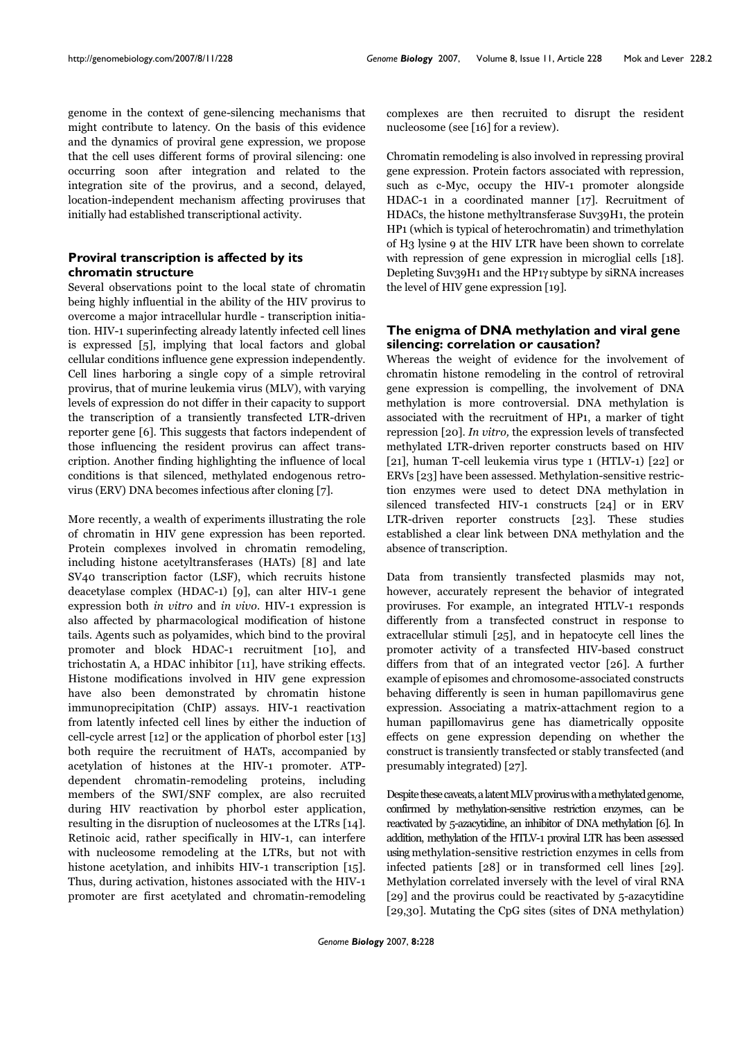genome in the context of gene-silencing mechanisms that might contribute to latency. On the basis of this evidence and the dynamics of proviral gene expression, we propose that the cell uses different forms of proviral silencing: one occurring soon after integration and related to the integration site of the provirus, and a second, delayed, location-independent mechanism affecting proviruses that initially had established transcriptional activity.

# **Proviral transcription is affected by its chromatin structure**

Several observations point to the local state of chromatin being highly influential in the ability of the HIV provirus to overcome a major intracellular hurdle - transcription initiation. HIV-1 superinfecting already latently infected cell lines is expressed [5], implying that local factors and global cellular conditions influence gene expression independently. Cell lines harboring a single copy of a simple retroviral provirus, that of murine leukemia virus (MLV), with varying levels of expression do not differ in their capacity to support the transcription of a transiently transfected LTR-driven reporter gene [6]. This suggests that factors independent of those influencing the resident provirus can affect transcription. Another finding highlighting the influence of local conditions is that silenced, methylated endogenous retrovirus (ERV) DNA becomes infectious after cloning [7].

More recently, a wealth of experiments illustrating the role of chromatin in HIV gene expression has been reported. Protein complexes involved in chromatin remodeling, including histone acetyltransferases (HATs) [8] and late SV40 transcription factor (LSF), which recruits histone deacetylase complex (HDAC-1) [9], can alter HIV-1 gene expression both in vitro and in vivo. HIV-1 expression is also affected by pharmacological modification of histone tails. Agents such as polyamides, which bind to the proviral promoter and block HDAC-1 recruitment [10], and trichostatin A, a HDAC inhibitor [11], have striking effects. Histone modifications involved in HIV gene expression have also been demonstrated by chromatin histone immunoprecipitation (ChIP) assays. HIV-1 reactivation from latently infected cell lines by either the induction of cell-cycle arrest  $[12]$  or the application of phorbol ester  $[13]$ both require the recruitment of HATs, accompanied by acetylation of histones at the HIV-1 promoter. ATPdependent chromatin-remodeling proteins, including members of the SWI/SNF complex, are also recruited during HIV reactivation by phorbol ester application, resulting in the disruption of nucleosomes at the LTRs [14]. Retinoic acid, rather specifically in HIV-1, can interfere with nucleosome remodeling at the LTRs, but not with histone acetylation, and inhibits HIV-1 transcription [15]. Thus, during activation, histones associated with the HIV-1 promoter are first acetylated and chromatin-remodeling complexes are then recruited to disrupt the resident nucleosome (see [16] for a review).

Chromatin remodeling is also involved in repressing proviral gene expression. Protein factors associated with repression, such as c-Myc, occupy the HIV-1 promoter alongside HDAC-1 in a coordinated manner [17]. Recruitment of HDACs, the histone methyltransferase Suv39H1, the protein HP1 (which is typical of heterochromatin) and trimethylation of H3 lysine 9 at the HIV LTR have been shown to correlate with repression of gene expression in microglial cells [18]. Depleting Suv39H1 and the HP1γ subtype by siRNA increases the level of HIV gene expression [19].

### **The enigma of DNA methylation and viral gene silencing: correlation or causation?**

Whereas the weight of evidence for the involvement of chromatin histone remodeling in the control of retroviral gene expression is compelling, the involvement of DNA methylation is more controversial. DNA methylation is associated with the recruitment of HP1, a marker of tight repression [20]. In vitro, the expression levels of transfected methylated LTR-driven reporter constructs based on HIV [21], human T-cell leukemia virus type 1 (HTLV-1) [22] or ERVs [23] have been assessed. Methylation-sensitive restriction enzymes were used to detect DNA methylation in silenced transfected HIV-1 constructs [24] or in ERV LTR-driven reporter constructs [23]. These studies established a clear link between DNA methylation and the absence of transcription.

Data from transiently transfected plasmids may not, however, accurately represent the behavior of integrated proviruses. For example, an integrated HTLV-1 responds differently from a transfected construct in response to extracellular stimuli [25], and in hepatocyte cell lines the promoter activity of a transfected HIV-based construct differs from that of an integrated vector [26]. A further example of episomes and chromosome-associated constructs behaving differently is seen in human papillomavirus gene expression. Associating a matrix-attachment region to a human papillomavirus gene has diametrically opposite effects on gene expression depending on whether the construct is transiently transfected or stably transfected (and presumably integrated) [27].

Despite these caveats, a latent MLV provirus with a methylated genome, confirmed by methylation-sensitive restriction enzymes, can be reactivated by 5-azacytidine, an inhibitor of DNA methylation [6]. In addition, methylation of the HTLV-1 proviral LTR has been assessed using methylation-sensitive restriction enzymes in cells from infected patients [28] or in transformed cell lines [29]. Methylation correlated inversely with the level of viral RNA [29] and the provirus could be reactivated by 5-azacytidine [29,30]. Mutating the CpG sites (sites of DNA methylation)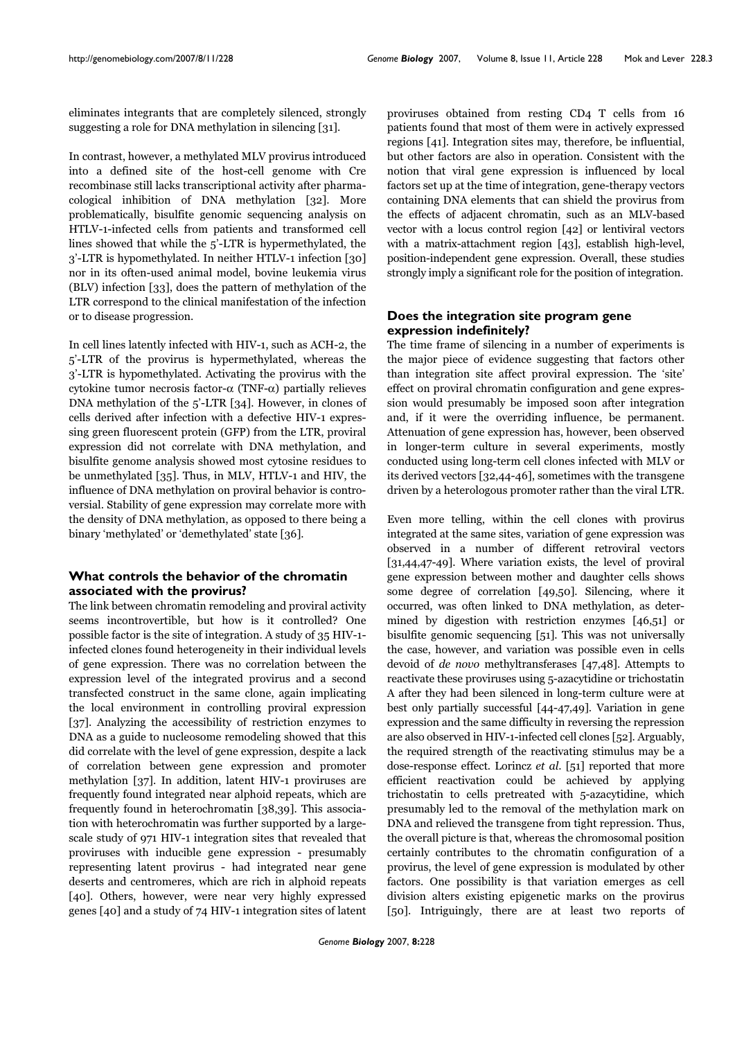eliminates integrants that are completely silenced, strongly suggesting a role for DNA methylation in silencing [31].

In contrast, however, a methylated MLV provirus introduced into a defined site of the host-cell genome with Cre recombinase still lacks transcriptional activity after pharmacological inhibition of DNA methylation [32]. More problematically, bisulfite genomic sequencing analysis on HTLV-1-infected cells from patients and transformed cell lines showed that while the 5'-LTR is hypermethylated, the 3'-LTR is hypomethylated. In neither HTLV-1 infection [30] nor in its often-used animal model, bovine leukemia virus (BLV) infection [33], does the pattern of methylation of the LTR correspond to the clinical manifestation of the infection or to disease progression.

In cell lines latently infected with HIV-1, such as ACH-2, the 5'-LTR of the provirus is hypermethylated, whereas the 3'-LTR is hypomethylated. Activating the provirus with the cytokine tumor necrosis factor-α (TNF-α) partially relieves DNA methylation of the 5'-LTR [34]. However, in clones of cells derived after infection with a defective HIV-1 expressing green fluorescent protein (GFP) from the LTR, proviral expression did not correlate with DNA methylation, and bisulfite genome analysis showed most cytosine residues to be unmethylated [35]. Thus, in MLV, HTLV-1 and HIV, the influence of DNA methylation on proviral behavior is controversial. Stability of gene expression may correlate more with the density of DNA methylation, as opposed to there being a binary 'methylated' or 'demethylated' state [36].

# **What controls the behavior of the chromatin associated with the provirus?**

The link between chromatin remodeling and proviral activity seems incontrovertible, but how is it controlled? One possible factor is the site of integration. A study of 35 HIV-1 infected clones found heterogeneity in their individual levels of gene expression. There was no correlation between the expression level of the integrated provirus and a second transfected construct in the same clone, again implicating the local environment in controlling proviral expression [37]. Analyzing the accessibility of restriction enzymes to DNA as a guide to nucleosome remodeling showed that this did correlate with the level of gene expression, despite a lack of correlation between gene expression and promoter methylation [37]. In addition, latent HIV-1 proviruses are frequently found integrated near alphoid repeats, which are frequently found in heterochromatin [38,39]. This association with heterochromatin was further supported by a largescale study of 971 HIV-1 integration sites that revealed that proviruses with inducible gene expression - presumably representing latent provirus - had integrated near gene deserts and centromeres, which are rich in alphoid repeats [40]. Others, however, were near very highly expressed genes [40] and a study of 74 HIV-1 integration sites of latent proviruses obtained from resting CD4 T cells from 16 patients found that most of them were in actively expressed regions [41]. Integration sites may, therefore, be influential, but other factors are also in operation. Consistent with the notion that viral gene expression is influenced by local factors set up at the time of integration, gene-therapy vectors containing DNA elements that can shield the provirus from the effects of adjacent chromatin, such as an MLV-based vector with a locus control region [42] or lentiviral vectors with a matrix-attachment region [43], establish high-level, position-independent gene expression. Overall, these studies strongly imply a significant role for the position of integration.

# **Does the integration site program gene expression indefinitely?**

The time frame of silencing in a number of experiments is the major piece of evidence suggesting that factors other than integration site affect proviral expression. The 'site' effect on proviral chromatin configuration and gene expression would presumably be imposed soon after integration and, if it were the overriding influence, be permanent. Attenuation of gene expression has, however, been observed in longer-term culture in several experiments, mostly conducted using long-term cell clones infected with MLV or its derived vectors [32,44-46], sometimes with the transgene driven by a heterologous promoter rather than the viral LTR.

Even more telling, within the cell clones with provirus integrated at the same sites, variation of gene expression was observed in a number of different retroviral vectors [31,44,47-49]. Where variation exists, the level of proviral gene expression between mother and daughter cells shows some degree of correlation [49,50]. Silencing, where it occurred, was often linked to DNA methylation, as determined by digestion with restriction enzymes [46,51] or bisulfite genomic sequencing [51]. This was not universally the case, however, and variation was possible even in cells devoid of de novo methyltransferases [47,48]. Attempts to reactivate these proviruses using 5-azacytidine or trichostatin A after they had been silenced in long-term culture were at best only partially successful [44-47,49]. Variation in gene expression and the same difficulty in reversing the repression are also observed in HIV-1-infected cell clones [52]. Arguably, the required strength of the reactivating stimulus may be a dose-response effect. Lorincz et al. [51] reported that more efficient reactivation could be achieved by applying trichostatin to cells pretreated with 5-azacytidine, which presumably led to the removal of the methylation mark on DNA and relieved the transgene from tight repression. Thus, the overall picture is that, whereas the chromosomal position certainly contributes to the chromatin configuration of a provirus, the level of gene expression is modulated by other factors. One possibility is that variation emerges as cell division alters existing epigenetic marks on the provirus [50]. Intriguingly, there are at least two reports of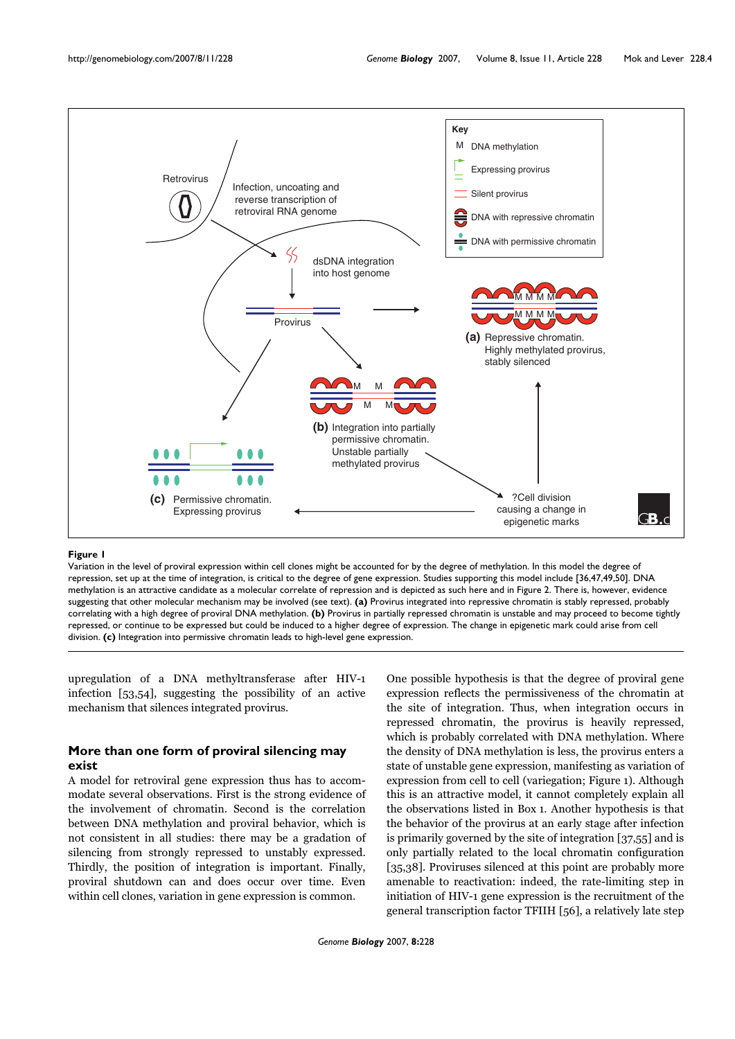

### **Figure 1**

Variation in the level of proviral expression within cell clones might be accounted for by the degree of methylation. In this model the degree of repression, set up at the time of integration, is critical to the degree of gene expression. Studies supporting this model include [36,47,49,50]. DNA methylation is an attractive candidate as a molecular correlate of repression and is depicted as such here and in Figure 2. There is, however, evidence suggesting that other molecular mechanism may be involved (see text). **(a)** Provirus integrated into repressive chromatin is stably repressed, probably correlating with a high degree of proviral DNA methylation. **(b)** Provirus in partially repressed chromatin is unstable and may proceed to become tightly repressed, or continue to be expressed but could be induced to a higher degree of expression. The change in epigenetic mark could arise from cell division. **(c)** Integration into permissive chromatin leads to high-level gene expression.

upregulation of a DNA methyltransferase after HIV-1 infection [53,54], suggesting the possibility of an active mechanism that silences integrated provirus.

# **More than one form of proviral silencing may exist**

A model for retroviral gene expression thus has to accommodate several observations. First is the strong evidence of the involvement of chromatin. Second is the correlation between DNA methylation and proviral behavior, which is not consistent in all studies: there may be a gradation of silencing from strongly repressed to unstably expressed. Thirdly, the position of integration is important. Finally, proviral shutdown can and does occur over time. Even within cell clones, variation in gene expression is common.

One possible hypothesis is that the degree of proviral gene expression reflects the permissiveness of the chromatin at the site of integration. Thus, when integration occurs in repressed chromatin, the provirus is heavily repressed, which is probably correlated with DNA methylation. Where the density of DNA methylation is less, the provirus enters a state of unstable gene expression, manifesting as variation of expression from cell to cell (variegation; Figure 1). Although this is an attractive model, it cannot completely explain all the observations listed in Box 1. Another hypothesis is that the behavior of the provirus at an early stage after infection is primarily governed by the site of integration [37,55] and is only partially related to the local chromatin configuration [35,38]. Proviruses silenced at this point are probably more amenable to reactivation: indeed, the rate-limiting step in initiation of HIV-1 gene expression is the recruitment of the general transcription factor TFIIH [56], a relatively late step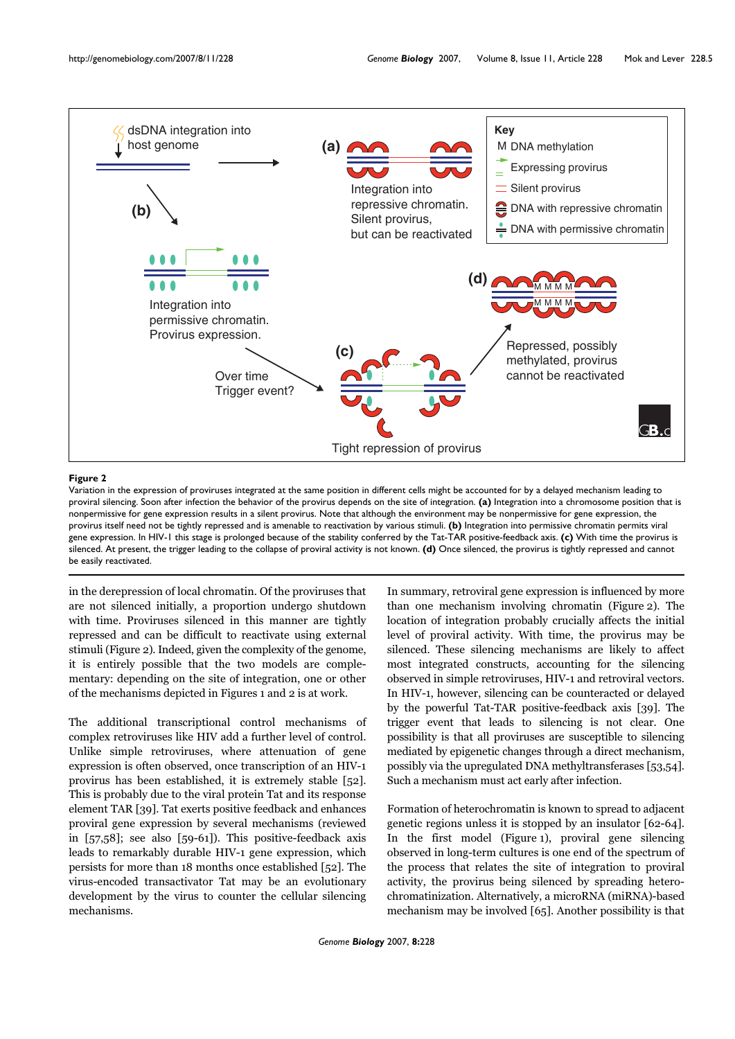

### **Figure 2**

Variation in the expression of proviruses integrated at the same position in different cells might be accounted for by a delayed mechanism leading to proviral silencing. Soon after infection the behavior of the provirus depends on the site of integration. **(a)** Integration into a chromosome position that is nonpermissive for gene expression results in a silent provirus. Note that although the environment may be nonpermissive for gene expression, the provirus itself need not be tightly repressed and is amenable to reactivation by various stimuli. **(b)** Integration into permissive chromatin permits viral gene expression. In HIV-1 this stage is prolonged because of the stability conferred by the Tat-TAR positive-feedback axis. **(c)** With time the provirus is silenced. At present, the trigger leading to the collapse of proviral activity is not known. **(d)** Once silenced, the provirus is tightly repressed and cannot be easily reactivated.

in the derepression of local chromatin. Of the proviruses that are not silenced initially, a proportion undergo shutdown with time. Proviruses silenced in this manner are tightly repressed and can be difficult to reactivate using external stimuli (Figure 2). Indeed, given the complexity of the genome, it is entirely possible that the two models are complementary: depending on the site of integration, one or other of the mechanisms depicted in Figures 1 and 2 is at work.

The additional transcriptional control mechanisms of complex retroviruses like HIV add a further level of control. Unlike simple retroviruses, where attenuation of gene expression is often observed, once transcription of an HIV-1 provirus has been established, it is extremely stable [52]. This is probably due to the viral protein Tat and its response element TAR [39]. Tat exerts positive feedback and enhances proviral gene expression by several mechanisms (reviewed in  $[57,58]$ ; see also  $[59-61]$ ). This positive-feedback axis leads to remarkably durable HIV-1 gene expression, which persists for more than 18 months once established [52]. The virus-encoded transactivator Tat may be an evolutionary development by the virus to counter the cellular silencing mechanisms.

In summary, retroviral gene expression is influenced by more than one mechanism involving chromatin (Figure 2). The location of integration probably crucially affects the initial level of proviral activity. With time, the provirus may be silenced. These silencing mechanisms are likely to affect most integrated constructs, accounting for the silencing observed in simple retroviruses, HIV-1 and retroviral vectors. In HIV-1, however, silencing can be counteracted or delayed by the powerful Tat-TAR positive-feedback axis [39]. The trigger event that leads to silencing is not clear. One possibility is that all proviruses are susceptible to silencing mediated by epigenetic changes through a direct mechanism, possibly via the upregulated DNA methyltransferases [53,54]. Such a mechanism must act early after infection.

Formation of heterochromatin is known to spread to adjacent genetic regions unless it is stopped by an insulator [62-64]. In the first model (Figure 1), proviral gene silencing observed in long-term cultures is one end of the spectrum of the process that relates the site of integration to proviral activity, the provirus being silenced by spreading heterochromatinization. Alternatively, a microRNA (miRNA)-based mechanism may be involved [65]. Another possibility is that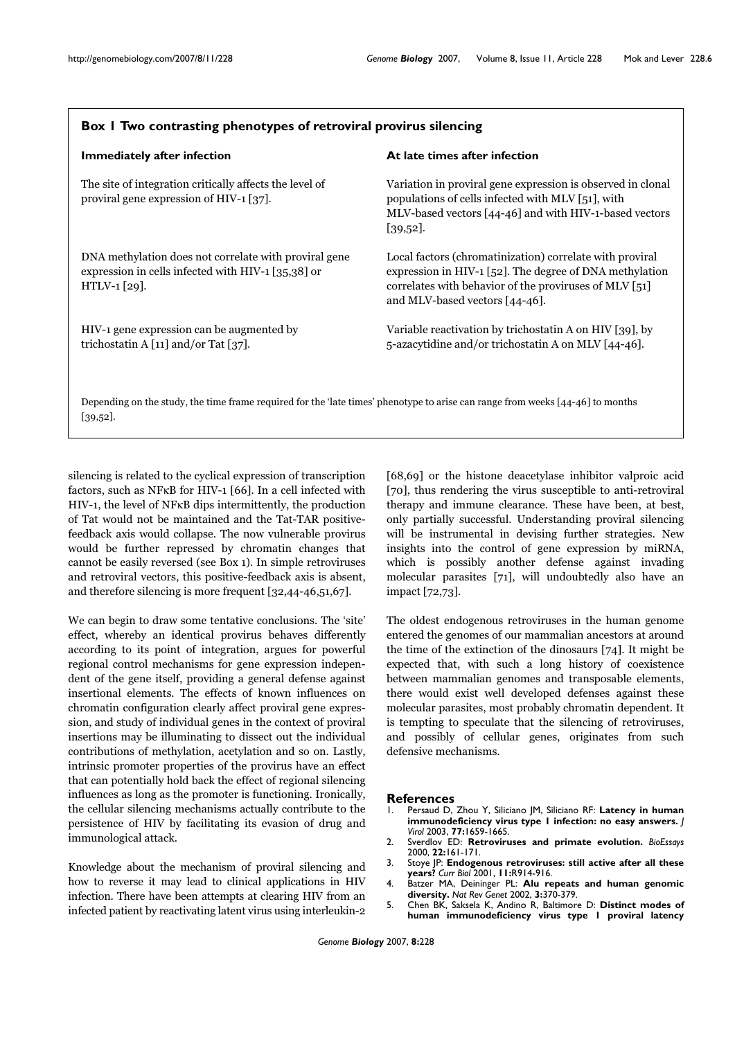|  | Box I Two contrasting phenotypes of retroviral provirus silencing |  |  |  |
|--|-------------------------------------------------------------------|--|--|--|
|  |                                                                   |  |  |  |

| Immediately after infection                                                                                                   | At late times after infection                                                                                                                                                                                        |
|-------------------------------------------------------------------------------------------------------------------------------|----------------------------------------------------------------------------------------------------------------------------------------------------------------------------------------------------------------------|
| The site of integration critically affects the level of<br>proviral gene expression of HIV-1 [37].                            | Variation in proviral gene expression is observed in clonal<br>populations of cells infected with MLV [51], with<br>MLV-based vectors [44-46] and with HIV-1-based vectors<br>$[39,52]$ .                            |
| DNA methylation does not correlate with proviral gene<br>expression in cells infected with HIV-1 [35,38] or<br>$HTLV-1$ [29]. | Local factors (chromatinization) correlate with proviral<br>expression in HIV-1 $[52]$ . The degree of DNA methylation<br>correlates with behavior of the proviruses of MLV $[51]$<br>and MLV-based vectors [44-46]. |
| HIV-1 gene expression can be augmented by<br>trichostatin A [11] and/or Tat [37].                                             | Variable reactivation by trichostatin A on HIV [39], by<br>5-azacytidine and/or trichostatin A on MLV [44-46].                                                                                                       |

Depending on the study, the time frame required for the 'late times' phenotype to arise can range from weeks [44-46] to months [39,52].

silencing is related to the cyclical expression of transcription factors, such as NFκB for HIV-1 [66]. In a cell infected with HIV-1, the level of NFκB dips intermittently, the production of Tat would not be maintained and the Tat-TAR positivefeedback axis would collapse. The now vulnerable provirus would be further repressed by chromatin changes that cannot be easily reversed (see Box 1). In simple retroviruses and retroviral vectors, this positive-feedback axis is absent, and therefore silencing is more frequent [32,44-46,51,67].

We can begin to draw some tentative conclusions. The 'site' effect, whereby an identical provirus behaves differently according to its point of integration, argues for powerful regional control mechanisms for gene expression independent of the gene itself, providing a general defense against insertional elements. The effects of known influences on chromatin configuration clearly affect proviral gene expression, and study of individual genes in the context of proviral insertions may be illuminating to dissect out the individual contributions of methylation, acetylation and so on. Lastly, intrinsic promoter properties of the provirus have an effect that can potentially hold back the effect of regional silencing influences as long as the promoter is functioning. Ironically, the cellular silencing mechanisms actually contribute to the persistence of HIV by facilitating its evasion of drug and immunological attack.

Knowledge about the mechanism of proviral silencing and how to reverse it may lead to clinical applications in HIV infection. There have been attempts at clearing HIV from an infected patient by reactivating latent virus using interleukin-2

[68,69] or the histone deacetylase inhibitor valproic acid [70], thus rendering the virus susceptible to anti-retroviral therapy and immune clearance. These have been, at best, only partially successful. Understanding proviral silencing will be instrumental in devising further strategies. New insights into the control of gene expression by miRNA, which is possibly another defense against invading molecular parasites [71], will undoubtedly also have an impact [72,73].

The oldest endogenous retroviruses in the human genome entered the genomes of our mammalian ancestors at around the time of the extinction of the dinosaurs [74]. It might be expected that, with such a long history of coexistence between mammalian genomes and transposable elements, there would exist well developed defenses against these molecular parasites, most probably chromatin dependent. It is tempting to speculate that the silencing of retroviruses, and possibly of cellular genes, originates from such defensive mechanisms.

### **References**

- 1. Persaud D, Zhou Y, Siliciano JM, Siliciano RF: **Latency in human immunodeficiency virus type 1 infection: no easy answers.** *J Virol* 2003, **77:**1659-1665.
- 2. Sverdlov ED: **Retroviruses and primate evolution.** *BioEssays* 2000, **22:**161-171.
- 3. Stoye JP: **Endogenous retroviruses: still active after all these years?** *Curr Biol* 2001, **11:**R914-916.
- 4. Batzer MA, Deininger PL: **Alu repeats and human genomic diversity.** *Nat Rev Genet* 2002, **3:**370-379.
- 5. Chen BK, Saksela K, Andino R, Baltimore D: **Distinct modes of human immunodeficiency virus type 1 proviral latency**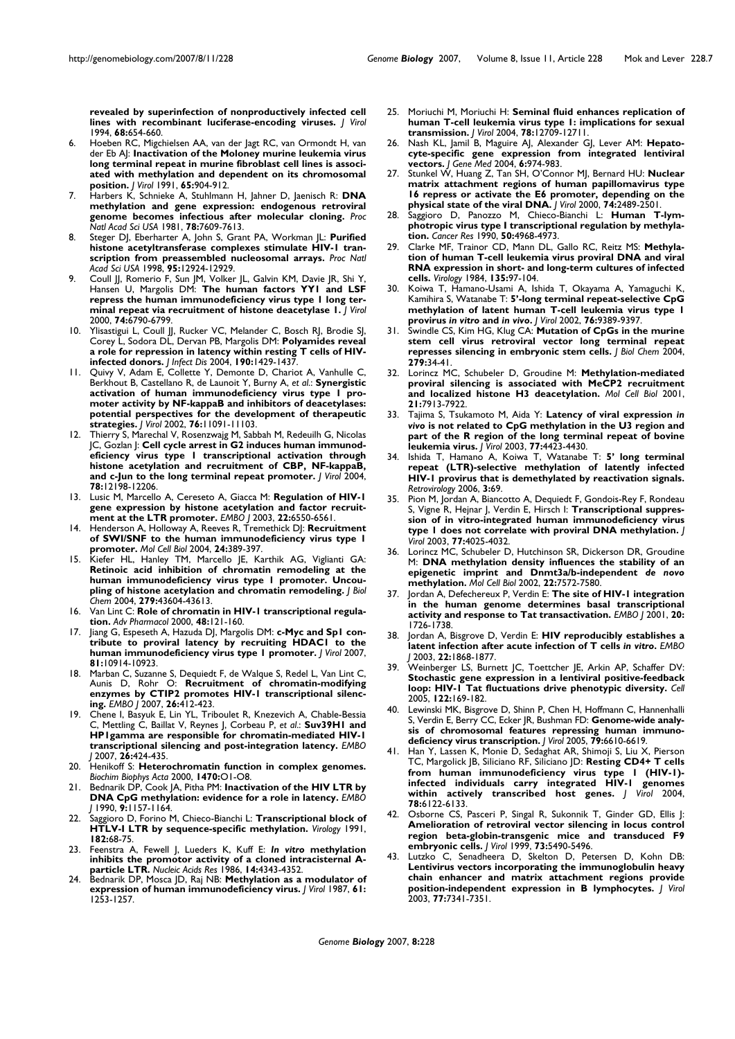**revealed by superinfection of nonproductively infected cell lines with recombinant luciferase-encoding viruses.** *J Virol* 1994, **68:**654-660.

- 6. Hoeben RC, Migchielsen AA, van der Jagt RC, van Ormondt H, van der Eb AJ: **Inactivation of the Moloney murine leukemia virus long terminal repeat in murine fibroblast cell lines is associated with methylation and dependent on its chromosomal position.** *J Virol* 1991, **65:**904-912.
- 7. Harbers K, Schnieke A, Stuhlmann H, Jahner D, Jaenisch R: **DNA methylation and gene expression: endogenous retroviral genome becomes infectious after molecular cloning.** *Proc Natl Acad Sci USA* 1981, **78:**7609-7613.
- 8. Steger DJ, Eberharter A, John S, Grant PA, Workman JL: **Purified histone acetyltransferase complexes stimulate HIV-1 transcription from preassembled nucleosomal arrays.** *Proc Natl Acad Sci USA* 1998, **95:**12924-12929.
- 9. Coull JJ, Romerio F, Sun JM, Volker JL, Galvin KM, Davie JR, Shi Y, Hansen U, Margolis DM: **The human factors YY1 and LSF repress the human immunodeficiency virus type 1 long terminal repeat via recruitment of histone deacetylase 1.** *J Virol* 2000, **74:**6790-6799.
- 10. Ylisastigui L, Coull JJ, Rucker VC, Melander C, Bosch RJ, Brodie SJ, Corey L, Sodora DL, Dervan PB, Margolis DM: **Polyamides reveal a role for repression in latency within resting T cells of HIVinfected donors.** *J Infect Dis* 2004, **190:**1429-1437.
- 11. Quivy V, Adam E, Collette Y, Demonte D, Chariot A, Vanhulle C, Berkhout B, Castellano R, de Launoit Y, Burny A, *et al*.: **Synergistic activation of human immunodeficiency virus type 1 promoter activity by NF-kappaB and inhibitors of deacetylases: potential perspectives for the development of therapeutic strategies.** *J Virol* 2002, **76:**11091-11103.
- 12. Thierry S, Marechal V, Rosenzwajg M, Sabbah M, Redeuilh G, Nicolas JC, Gozlan J: **Cell cycle arrest in G2 induces human immunodeficiency virus type 1 transcriptional activation through histone acetylation and recruitment of CBP, NF-kappaB, and c-Jun to the long terminal repeat promoter.** *J Virol* 2004, **78:**12198-12206.
- 13. Lusic M, Marcello A, Cereseto A, Giacca M: **Regulation of HIV-1 gene expression by histone acetylation and factor recruitment at the LTR promoter.** *EMBO J* 2003, **22:**6550-6561.
- 14. Henderson A, Holloway A, Reeves R, Tremethick DJ: **Recruitment of SWI/SNF to the human immunodeficiency virus type 1 promoter.** *Mol Cell Biol* 2004, **24:**389-397.
- 15. Kiefer HL, Hanley TM, Marcello JE, Karthik AG, Viglianti GA: **Retinoic acid inhibition of chromatin remodeling at the human immunodeficiency virus type 1 promoter. Uncoupling of histone acetylation and chromatin remodeling.** *J Biol Chem* 2004, **279:**43604-43613.
- 16. Van Lint C: **Role of chromatin in HIV-1 transcriptional regulation.** *Adv Pharmacol* 2000, **48:**121-160.
- 17. Jiang G, Espeseth A, Hazuda DJ, Margolis DM: **c-Myc and Sp1 contribute to proviral latency by recruiting HDAC1 to the human immunodeficiency virus type 1 promoter.** *J Virol* 2007, **81:**10914-10923.
- 18. Marban C, Suzanne S, Dequiedt F, de Walque S, Redel L, Van Lint C, Aunis D, Rohr O: **Recruitment of chromatin-modifying enzymes by CTIP2 promotes HIV-1 transcriptional silencing.** *EMBO J* 2007, **26:**412-423.
- 19. Chene I, Basyuk E, Lin YL, Triboulet R, Knezevich A, Chable-Bessia C, Mettling C, Baillat V, Reynes J, Corbeau P, *et al*.: **Suv39H1 and HP1gamma are responsible for chromatin-mediated HIV-1 transcriptional silencing and post-integration latency.** *EMBO J* 2007, **26:**424-435.
- 20. Henikoff S: **Heterochromatin function in complex genomes.** *Biochim Biophys Acta* 2000, **1470:**O1-O8.
- 21. Bednarik DP, Cook JA, Pitha PM: **Inactivation of the HIV LTR by DNA CpG methylation: evidence for a role in latency.** *EMBO J* 1990, **9:**1157-1164.
- 22. Saggioro D, Forino M, Chieco-Bianchi L: **Transcriptional block of HTLV-I LTR by sequence-specific methylation.** *Virology* 1991, **182:**68-75.
- 23. Feenstra A, Fewell J, Lueders K, Kuff E: *In vitro* **methylation inhibits the promotor activity of a cloned intracisternal Aparticle LTR.** *Nucleic Acids Res* 1986, **14:**4343-4352.
- 24. Bednarik DP, Mosca JD, Raj NB: **Methylation as a modulator of expression of human immunodeficiency virus.** *J Virol* 1987, **61:** 1253-1257.
- 25. Moriuchi M, Moriuchi H: **Seminal fluid enhances replication of human T-cell leukemia virus type 1: implications for sexual transmission.** *J Virol* 2004, **78:**12709-12711.
- 26. Nash KL, Jamil B, Maguire AJ, Alexander GJ, Lever AM: **Hepatocyte-specific gene expression from integrated lentiviral vectors.** *J Gene Med* 2004, **6:**974-983.
- 27. Stunkel W, Huang Z, Tan SH, O'Connor MJ, Bernard HU: **Nuclear matrix attachment regions of human papillomavirus type 16 repress or activate the E6 promoter, depending on the physical state of the viral DNA.** *J Virol* 2000, **74:**2489-2501.
- 28. Saggioro D, Panozzo M, Chieco-Bianchi L: **Human T-lymphotropic virus type I transcriptional regulation by methylation.** *Cancer Res* 1990, **50:**4968-4973.
- 29. Clarke MF, Trainor CD, Mann DL, Gallo RC, Reitz MS: **Methylation of human T-cell leukemia virus proviral DNA and viral RNA expression in short- and long-term cultures of infected cells.** *Virology* 1984, **135:**97-104.
- 30. Koiwa T, Hamano-Usami A, Ishida T, Okayama A, Yamaguchi K, Kamihira S, Watanabe T: **5'-long terminal repeat-selective CpG methylation of latent human T-cell leukemia virus type 1 provirus** *in vitro* **and** *in vivo***.** *J Virol* 2002, **76:**9389-9397.
- 31. Swindle CS, Kim HG, Klug CA: **Mutation of CpGs in the murine stem cell virus retroviral vector long terminal repeat represses silencing in embryonic stem cells.** *J Biol Chem* 2004, **279:**34-41.
- 32. Lorincz MC, Schubeler D, Groudine M: **Methylation-mediated proviral silencing is associated with MeCP2 recruitment and localized histone H3 deacetylation.** *Mol Cell Biol* 2001, **21:**7913-7922.
- 33. Tajima S, Tsukamoto M, Aida Y: **Latency of viral expression** *in vivo* **is not related to CpG methylation in the U3 region and part of the R region of the long terminal repeat of bovine leukemia virus.** *J Virol* 2003, **77:**4423-4430.
- 34. Ishida T, Hamano A, Koiwa T, Watanabe T: **5' long terminal repeat (LTR)-selective methylation of latently infected HIV-1 provirus that is demethylated by reactivation signals.** *Retrovirology* 2006, **3:**69.
- 35. Pion M, Jordan A, Biancotto A, Dequiedt F, Gondois-Rey F, Rondeau S, Vigne R, Hejnar J, Verdin E, Hirsch I: **Transcriptional suppression of in vitro-integrated human immunodeficiency virus type 1 does not correlate with proviral DNA methylation.** *J Virol* 2003, **77:**4025-4032.
- 36. Lorincz MC, Schubeler D, Hutchinson SR, Dickerson DR, Groudine M: **DNA methylation density influences the stability of an epigenetic imprint and Dnmt3a/b-independent** *de novo* **methylation.** *Mol Cell Biol* 2002, **22:**7572-7580.
- 37. Jordan A, Defechereux P, Verdin E: **The site of HIV-1 integration in the human genome determines basal transcriptional activity and response to Tat transactivation.** *EMBO J* 2001, **20:** 1726-1738.
- 38. Jordan A, Bisgrove D, Verdin E: **HIV reproducibly establishes a latent infection after acute infection of T cells** *in vitro***.** *EMBO J* 2003, **22:**1868-1877.
- 39. Weinberger LS, Burnett JC, Toettcher JE, Arkin AP, Schaffer DV: **Stochastic gene expression in a lentiviral positive-feedback loop: HIV-1 Tat fluctuations drive phenotypic diversity.** *Cell* 2005, **122:**169-182.
- Lewinski MK, Bisgrove D, Shinn P, Chen H, Hoffmann C, Hannenhalli S, Verdin E, Berry CC, Ecker JR, Bushman FD: **Genome-wide analysis of chromosomal features repressing human immunodeficiency virus transcription.** *J Virol* 2005, **79:**6610-6619.
- Han Y, Lassen K, Monie D, Sedaghat AR, Shimoji S, Liu X, Pierson TC, Margolick JB, Siliciano RF, Siliciano JD: **Resting CD4+ T cells from human immunodeficiency virus type 1 (HIV-1) infected individuals carry integrated HIV-1 genomes within actively transcribed host genes.** *J Virol* 2004, **78:**6122-6133.
- 42. Osborne CS, Pasceri P, Singal R, Sukonnik T, Ginder GD, Ellis J: **Amelioration of retroviral vector silencing in locus control region beta-globin-transgenic mice and transduced F9 embryonic cells.** *J Virol* 1999, **73:**5490-5496.
- 43. Lutzko C, Senadheera D, Skelton D, Petersen D, Kohn DB: **Lentivirus vectors incorporating the immunoglobulin heavy chain enhancer and matrix attachment regions provide position-independent expression in B lymphocytes.** *J Virol* 2003, **77:**7341-7351.